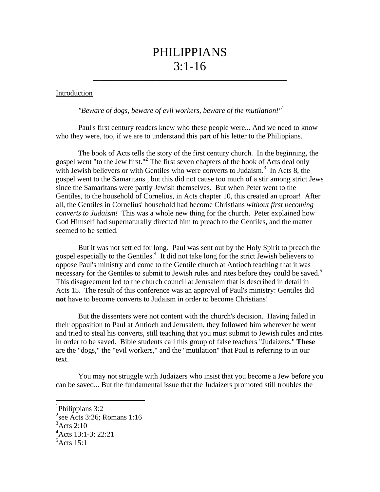## PHILIPPIANS  $3:1 - 16$

\_\_\_\_\_\_\_\_\_\_\_\_\_\_\_\_\_\_\_\_\_\_\_\_\_\_\_\_\_\_\_\_\_\_\_\_\_\_\_\_\_\_\_\_\_\_\_\_\_\_\_\_

## Introduction

*"Beware of dogs, beware of evil workers, beware of the mutilation!"*<sup>1</sup>

Paul's first century readers knew who these people were... And we need to know who they were, too, if we are to understand this part of his letter to the Philippians.

The book of Acts tells the story of the first century church. In the beginning, the gospel went "to the Jew first."<sup>2</sup> The first seven chapters of the book of Acts deal only with Jewish believers or with Gentiles who were converts to Judaism.<sup>3</sup> In Acts 8, the gospel went to the Samaritans , but this did not cause too much of a stir among strict Jews since the Samaritans were partly Jewish themselves. But when Peter went to the Gentiles, to the household of Cornelius, in Acts chapter 10, this created an uproar! After all, the Gentiles in Cornelius' household had become Christians *without first becoming converts to Judaism!* This was a whole new thing for the church. Peter explained how God Himself had supernaturally directed him to preach to the Gentiles, and the matter seemed to be settled.

But it was not settled for long. Paul was sent out by the Holy Spirit to preach the gospel especially to the Gentiles.<sup>4</sup> It did not take long for the strict Jewish believers to oppose Paul's ministry and come to the Gentile church at Antioch teaching that it was necessary for the Gentiles to submit to Jewish rules and rites before they could be saved.<sup>5</sup> This disagreement led to the church council at Jerusalem that is described in detail in Acts 15. The result of this conference was an approval of Paul's ministry: Gentiles did **not** have to become converts to Judaism in order to become Christians!

But the dissenters were not content with the church's decision. Having failed in their opposition to Paul at Antioch and Jerusalem, they followed him wherever he went and tried to steal his converts, still teaching that you must submit to Jewish rules and rites in order to be saved. Bible students call this group of false teachers "Judaizers." **These**  are the "dogs," the "evil workers," and the "mutilation" that Paul is referring to in our text.

You may not struggle with Judaizers who insist that you become a Jew before you can be saved... But the fundamental issue that the Judaizers promoted still troubles the

l

<sup>&</sup>lt;sup>1</sup>Philippians 3:2

<sup>&</sup>lt;sup>2</sup>see Acts 3:26; Romans 1:16  $3$ Acts 2:10 4 Acts 13:1-3; 22:21

 $5$ Acts 15:1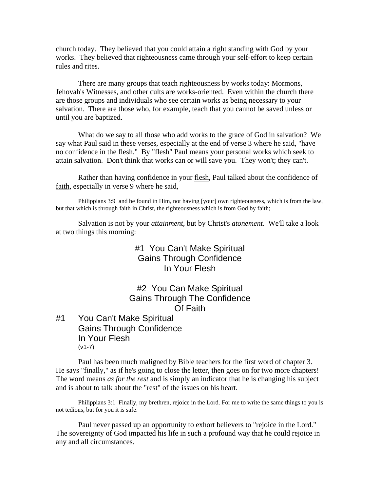church today. They believed that you could attain a right standing with God by your works. They believed that righteousness came through your self-effort to keep certain rules and rites.

There are many groups that teach righteousness by works today: Mormons, Jehovah's Witnesses, and other cults are works-oriented. Even within the church there are those groups and individuals who see certain works as being necessary to your salvation. There are those who, for example, teach that you cannot be saved unless or until you are baptized.

What do we say to all those who add works to the grace of God in salvation? We say what Paul said in these verses, especially at the end of verse 3 where he said, "have no confidence in the flesh." By "flesh" Paul means your personal works which seek to attain salvation. Don't think that works can or will save you. They won't; they can't.

Rather than having confidence in your flesh, Paul talked about the confidence of faith, especially in verse 9 where he said,

Philippians 3:9 and be found in Him, not having [your] own righteousness, which is from the law, but that which is through faith in Christ, the righteousness which is from God by faith;

Salvation is not by your *attainment*, but by Christ's *atonement*. We'll take a look at two things this morning:

> #1 You Can't Make Spiritual Gains Through Confidence In Your Flesh

#2 You Can Make Spiritual Gains Through The Confidence Of Faith

#1 You Can't Make Spiritual Gains Through Confidence In Your Flesh (v1-7)

Paul has been much maligned by Bible teachers for the first word of chapter 3. He says "finally," as if he's going to close the letter, then goes on for two more chapters! The word means *as for the rest* and is simply an indicator that he is changing his subject and is about to talk about the "rest" of the issues on his heart.

Philippians 3:1 Finally, my brethren, rejoice in the Lord. For me to write the same things to you is not tedious, but for you it is safe.

Paul never passed up an opportunity to exhort believers to "rejoice in the Lord." The sovereignty of God impacted his life in such a profound way that he could rejoice in any and all circumstances.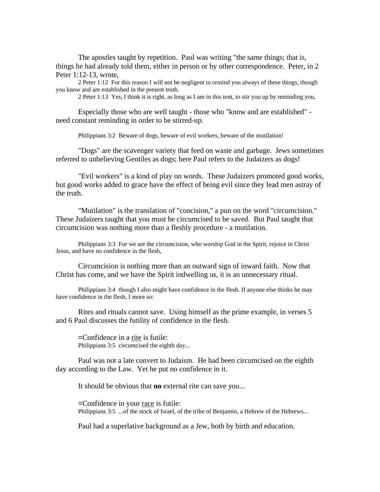The apostles taught by repetition. Paul was writing "the same things; that is, things he had already told them, either in person or by other correspondence. Peter, in 2 Peter 1:12-13, wrote,

2 Peter 1:12 For this reason I will not be negligent to remind you always of these things, though you know and are established in the present truth.

2 Peter 1:13 Yes, I think it is right, as long as I am in this tent, to stir you up by reminding you,

Especially those who are well taught - those who "know and are established" need constant reminding in order to be stirred-up.

Philippians 3:2 Beware of dogs, beware of evil workers, beware of the mutilation!

"Dogs" are the scavenger variety that feed on waste and garbage. Jews sometimes referred to unbelieving Gentiles as dogs; here Paul refers to the Judaizers as dogs!

"Evil workers" is a kind of play on words. These Judaizers promoted good works, but good works added to grace have the effect of being evil since they lead men astray of the truth.

"Mutilation" is the translation of "concision," a pun on the word "circumcision." These Judaizers taught that you must be circumcised to be saved. But Paul taught that circumcision was nothing more than a fleshly procedure - a mutilation.

Philippians 3:3 For we are the circumcision, who worship God in the Spirit, rejoice in Christ Jesus, and have no confidence in the flesh,

Circumcision is nothing more than an outward sign of inward faith. Now that Christ has come, and we have the Spirit indwelling us, it is an unnecessary ritual.

Philippians 3:4 though I also might have confidence in the flesh. If anyone else thinks he may have confidence in the flesh, I more so:

Rites and rituals cannot save. Using himself as the prime example, in verses 5 and 6 Paul discusses the futility of confidence in the flesh.

=Confidence in a rite is futile: Philippians 3:5 circumcised the eighth day...

Paul was not a late convert to Judaism. He had been circumcised on the eighth day according to the Law. Yet he put no confidence in it.

It should be obvious that **no** external rite can save you...

=Confidence in your race is futile: Philippians 3:5 ...of the stock of Israel, of the tribe of Benjamin, a Hebrew of the Hebrews...

Paul had a superlative background as a Jew, both by birth and education.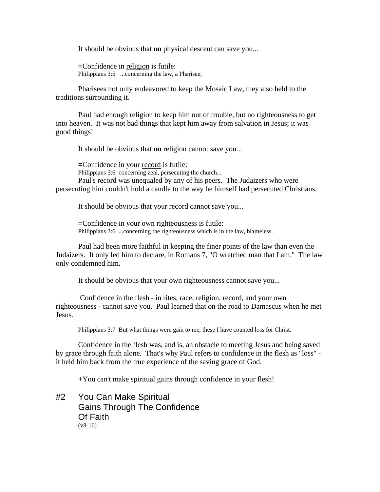It should be obvious that **no** physical descent can save you...

=Confidence in religion is futile: Philippians 3:5 ...concerning the law, a Pharisee;

Pharisees not only endeavored to keep the Mosaic Law, they also held to the traditions surrounding it.

Paul had enough religion to keep him out of trouble, but no righteousness to get into heaven. It was not bad things that kept him away from salvation in Jesus; it was good things!

It should be obvious that **no** religion cannot save you...

=Confidence in your record is futile: Philippians 3:6 concerning zeal, persecuting the church... Paul's record was unequaled by any of his peers. The Judaizers who were persecuting him couldn't hold a candle to the way he himself had persecuted Christians.

It should be obvious that your record cannot save you...

=Confidence in your own righteousness is futile: Philippians 3:6 ...concerning the righteousness which is in the law, blameless.

Paul had been more faithful in keeping the finer points of the law than even the Judaizers. It only led him to declare, in Romans 7, "O wretched man that I am." The law only condemned him.

It should be obvious that your own righteousness cannot save you...

 Confidence in the flesh - in rites, race, religion, record, and your own righteousness - cannot save you. Paul learned that on the road to Damascus when he met Jesus.

Philippians 3:7 But what things were gain to me, these I have counted loss for Christ.

Confidence in the flesh was, and is, an obstacle to meeting Jesus and being saved by grace through faith alone. That's why Paul refers to confidence in the flesh as "loss" it held him back from the true experience of the saving grace of God.

+You can't make spiritual gains through confidence in your flesh!

#2 You Can Make Spiritual Gains Through The Confidence Of Faith  $(v8-16)$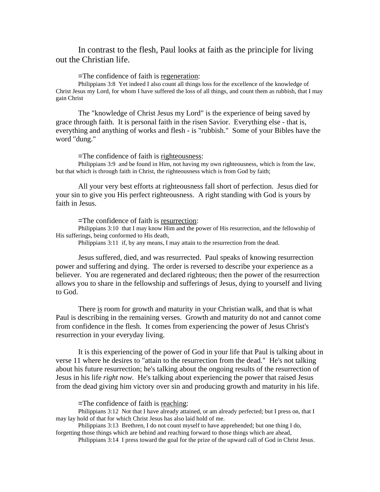In contrast to the flesh, Paul looks at faith as the principle for living out the Christian life.

=The confidence of faith is regeneration:

Philippians 3:8 Yet indeed I also count all things loss for the excellence of the knowledge of Christ Jesus my Lord, for whom I have suffered the loss of all things, and count them as rubbish, that I may gain Christ

The "knowledge of Christ Jesus my Lord" is the experience of being saved by grace through faith. It is personal faith in the risen Savior. Everything else - that is, everything and anything of works and flesh - is "rubbish." Some of your Bibles have the word "dung."

=The confidence of faith is righteousness:

Philippians 3:9 and be found in Him, not having my own righteousness, which is from the law, but that which is through faith in Christ, the righteousness which is from God by faith;

All your very best efforts at righteousness fall short of perfection. Jesus died for your sin to give you His perfect righteousness. A right standing with God is yours by faith in Jesus.

=The confidence of faith is resurrection:

Philippians 3:10 that I may know Him and the power of His resurrection, and the fellowship of His sufferings, being conformed to His death,

Philippians 3:11 if, by any means, I may attain to the resurrection from the dead.

Jesus suffered, died, and was resurrected. Paul speaks of knowing resurrection power and suffering and dying. The order is reversed to describe your experience as a believer. You are regenerated and declared righteous; then the power of the resurrection allows you to share in the fellowship and sufferings of Jesus, dying to yourself and living to God.

There is room for growth and maturity in your Christian walk, and that is what Paul is describing in the remaining verses. Growth and maturity do not and cannot come from confidence in the flesh. It comes from experiencing the power of Jesus Christ's resurrection in your everyday living.

It is this experiencing of the power of God in your life that Paul is talking about in verse 11 where he desires to "attain to the resurrection from the dead." He's not talking about his future resurrection; he's talking about the ongoing results of the resurrection of Jesus in his life *right now.* He's talking about experiencing the power that raised Jesus from the dead giving him victory over sin and producing growth and maturity in his life.

=The confidence of faith is reaching:

Philippians 3:12 Not that I have already attained, or am already perfected; but I press on, that I may lay hold of that for which Christ Jesus has also laid hold of me.

Philippians 3:13 Brethren, I do not count myself to have apprehended; but one thing I do, forgetting those things which are behind and reaching forward to those things which are ahead,

Philippians 3:14 I press toward the goal for the prize of the upward call of God in Christ Jesus.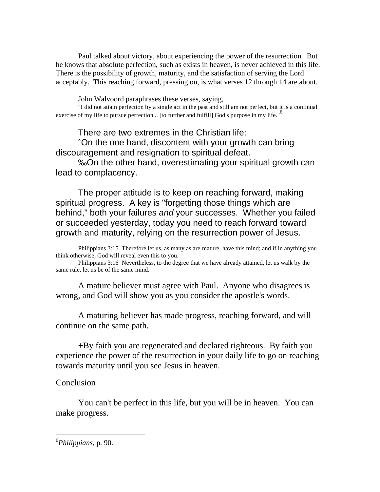Paul talked about victory, about experiencing the power of the resurrection. But he knows that absolute perfection, such as exists in heaven, is never achieved in this life. There is the possibility of growth, maturity, and the satisfaction of serving the Lord acceptably. This reaching forward, pressing on, is what verses 12 through 14 are about.

John Walvoord paraphrases these verses, saying,

"I did not attain perfection by a single act in the past and still am not perfect, but it is a continual exercise of my life to pursue perfection... [to further and fulfill] God's purpose in my life."<sup>6</sup>

There are two extremes in the Christian life:

ˆOn the one hand, discontent with your growth can bring discouragement and resignation to spiritual defeat.

‰On the other hand, overestimating your spiritual growth can lead to complacency.

The proper attitude is to keep on reaching forward, making spiritual progress. A key is "forgetting those things which are behind," both your failures *and* your successes. Whether you failed or succeeded yesterday, today you need to reach forward toward growth and maturity, relying on the resurrection power of Jesus.

Philippians 3:15 Therefore let us, as many as are mature, have this mind; and if in anything you think otherwise, God will reveal even this to you.

Philippians 3:16 Nevertheless, to the degree that we have already attained, let us walk by the same rule, let us be of the same mind.

A mature believer must agree with Paul. Anyone who disagrees is wrong, and God will show you as you consider the apostle's words.

A maturing believer has made progress, reaching forward, and will continue on the same path.

+By faith you are regenerated and declared righteous. By faith you experience the power of the resurrection in your daily life to go on reaching towards maturity until you see Jesus in heaven.

## Conclusion

You can't be perfect in this life, but you will be in heaven. You can make progress.

l

<sup>6</sup> *Philippians,* p. 90.